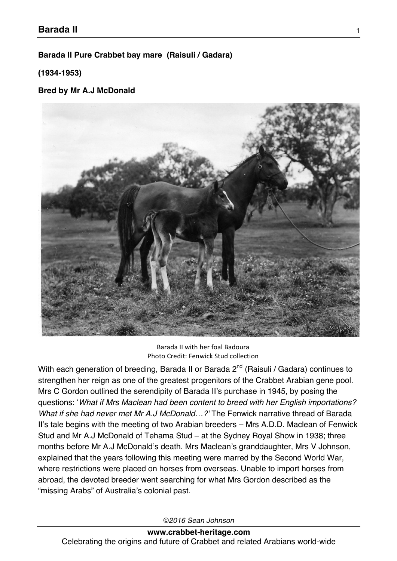## **Barada II Pure Crabbet bay mare (Raisuli / Gadara)**

**(1934-1953)**

## **Bred by Mr A.J McDonald**



Barada II with her foal Badoura Photo Credit: Fenwick Stud collection

With each generation of breeding, Barada II or Barada 2<sup>nd</sup> (Raisuli / Gadara) continues to strengthen her reign as one of the greatest progenitors of the Crabbet Arabian gene pool. Mrs C Gordon outlined the serendipity of Barada II's purchase in 1945, by posing the questions: '*What if Mrs Maclean had been content to breed with her English importations? What if she had never met Mr A.J McDonald…?'* The Fenwick narrative thread of Barada II's tale begins with the meeting of two Arabian breeders – Mrs A.D.D. Maclean of Fenwick Stud and Mr A.J McDonald of Tehama Stud – at the Sydney Royal Show in 1938; three months before Mr A.J McDonald's death. Mrs Maclean's granddaughter, Mrs V Johnson, explained that the years following this meeting were marred by the Second World War, where restrictions were placed on horses from overseas. Unable to import horses from abroad, the devoted breeder went searching for what Mrs Gordon described as the "missing Arabs" of Australia's colonial past.

©*2016 Sean Johnson*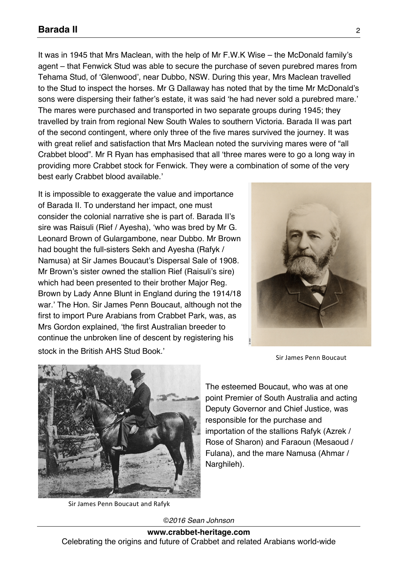It was in 1945 that Mrs Maclean, with the help of Mr F.W.K Wise – the McDonald family's agent – that Fenwick Stud was able to secure the purchase of seven purebred mares from Tehama Stud, of 'Glenwood', near Dubbo, NSW. During this year, Mrs Maclean travelled to the Stud to inspect the horses. Mr G Dallaway has noted that by the time Mr McDonald's sons were dispersing their father's estate, it was said 'he had never sold a purebred mare.' The mares were purchased and transported in two separate groups during 1945; they travelled by train from regional New South Wales to southern Victoria. Barada II was part of the second contingent, where only three of the five mares survived the journey. It was with great relief and satisfaction that Mrs Maclean noted the surviving mares were of "all Crabbet blood". Mr R Ryan has emphasised that all 'three mares were to go a long way in providing more Crabbet stock for Fenwick. They were a combination of some of the very best early Crabbet blood available.'

It is impossible to exaggerate the value and importance of Barada II. To understand her impact, one must consider the colonial narrative she is part of. Barada II's sire was Raisuli (Rief / Ayesha), 'who was bred by Mr G. Leonard Brown of Gulargambone, near Dubbo. Mr Brown had bought the full-sisters Sekh and Ayesha (Rafyk / Namusa) at Sir James Boucaut's Dispersal Sale of 1908. Mr Brown's sister owned the stallion Rief (Raisuli's sire) which had been presented to their brother Major Reg. Brown by Lady Anne Blunt in England during the 1914/18 war.' The Hon. Sir James Penn Boucaut, although not the first to import Pure Arabians from Crabbet Park, was, as Mrs Gordon explained, 'the first Australian breeder to continue the unbroken line of descent by registering his stock in the British AHS Stud Book.'



Sir James Penn Boucaut



The esteemed Boucaut, who was at one point Premier of South Australia and acting Deputy Governor and Chief Justice, was responsible for the purchase and importation of the stallions Rafyk (Azrek / Rose of Sharon) and Faraoun (Mesaoud / Fulana), and the mare Namusa (Ahmar / Narghileh).

Sir James Penn Boucaut and Rafyk

©*2016 Sean Johnson*